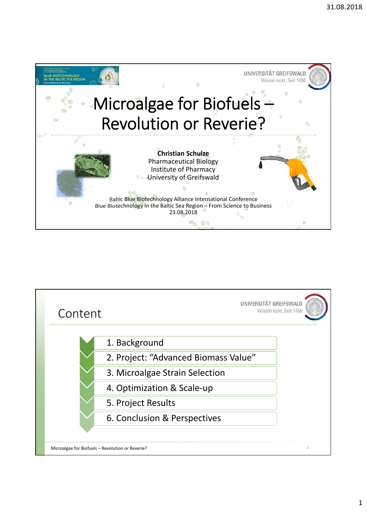

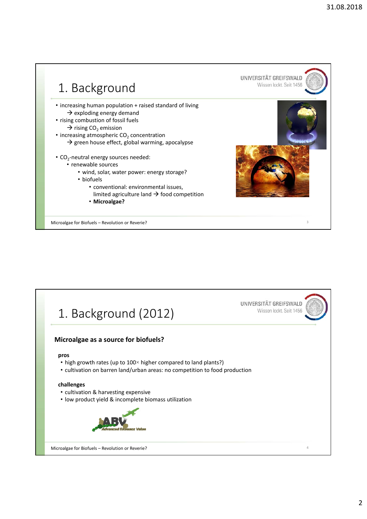

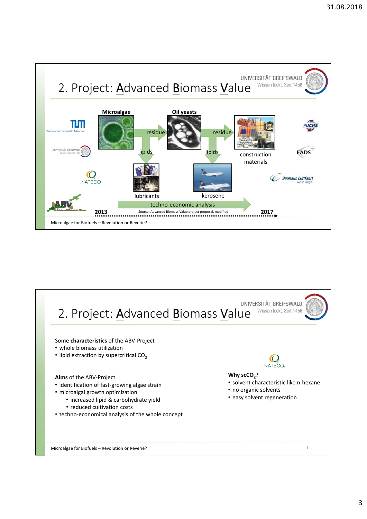

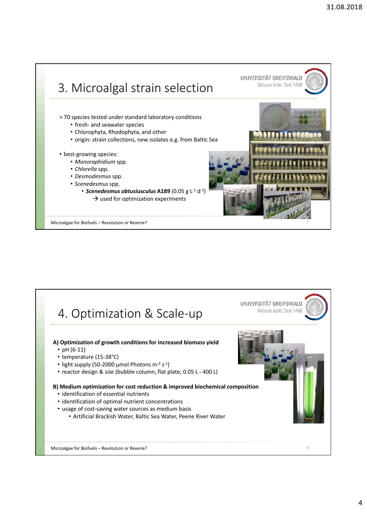

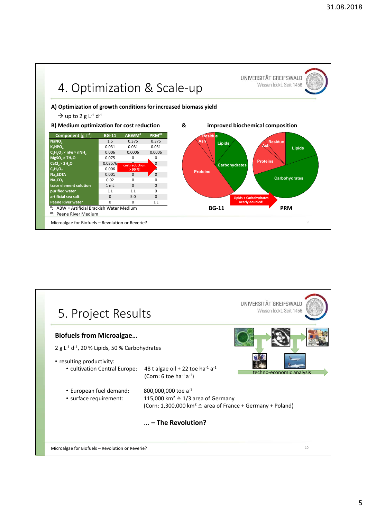

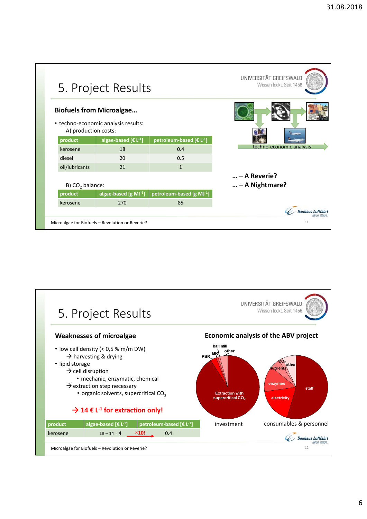|                                                  | 5. Project Results                                                     |                                      | UNIVERSITÄT GREIFSWALD<br>Wissen lockt. Seit 1456 |
|--------------------------------------------------|------------------------------------------------------------------------|--------------------------------------|---------------------------------------------------|
| A) production costs:                             | <b>Biofuels from Microalgae</b><br>• techno-economic analysis results: |                                      |                                                   |
| product                                          | algae-based $[\mathbf{\in} \mathsf{L}^{-1}]$                           | petroleum-based [€ L <sup>-1</sup> ] | techno-economic analysis                          |
| kerosene                                         | 18                                                                     | 0.4                                  |                                                   |
| diesel                                           | 20                                                                     | 0.5                                  |                                                   |
| oil/lubricants                                   | 21                                                                     | $\mathbf{1}$                         |                                                   |
|                                                  |                                                                        |                                      | $ - A$ Reverie?                                   |
| B) CO <sub>2</sub> balance:                      |                                                                        |                                      | $ - A$ Nightmare?                                 |
| product                                          | algae-based [g MJ-1]                                                   | petroleum-based [g MJ-1]             |                                                   |
| kerosene                                         | 270                                                                    | 85                                   |                                                   |
|                                                  |                                                                        |                                      |                                                   |
| Microalgae for Biofuels - Revolution or Reverie? |                                                                        |                                      | 11                                                |

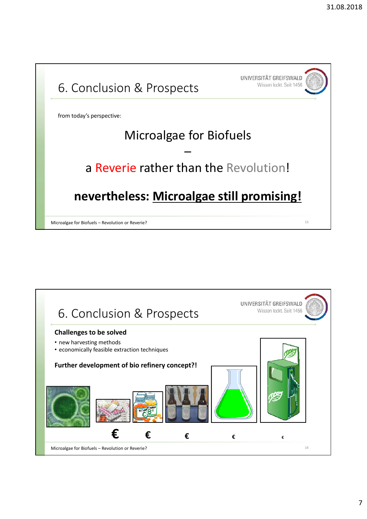